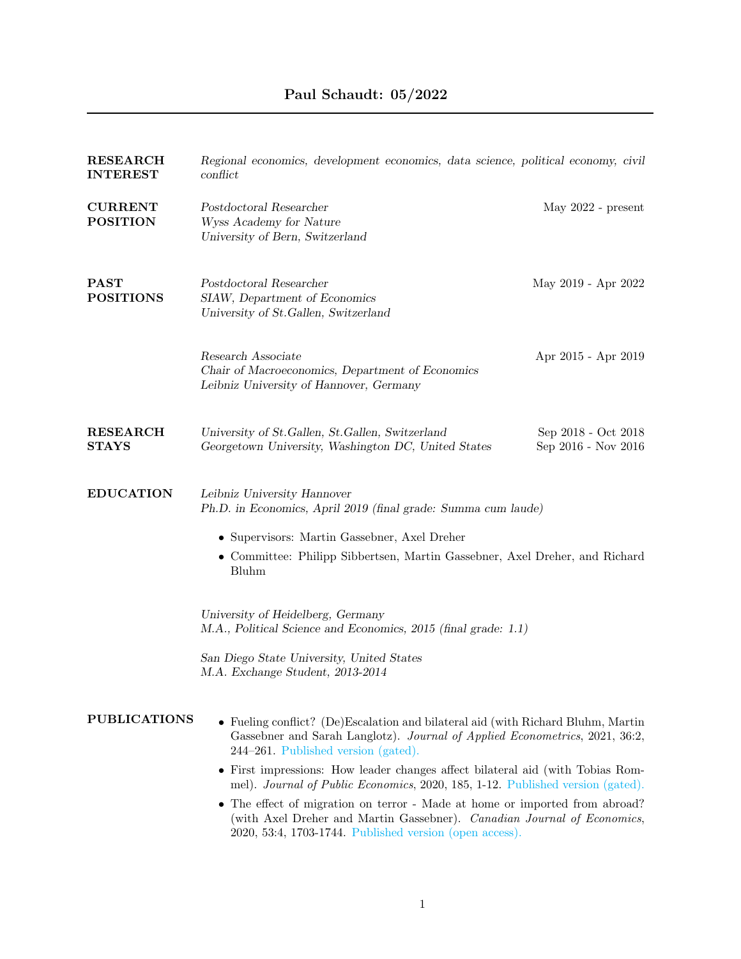| <b>RESEARCH</b><br><b>INTEREST</b> | Regional economics, development economics, data science, political economy, civil<br>conflict                                                                                                                   |                                            |
|------------------------------------|-----------------------------------------------------------------------------------------------------------------------------------------------------------------------------------------------------------------|--------------------------------------------|
| <b>CURRENT</b><br><b>POSITION</b>  | Postdoctoral Researcher<br>Wyss Academy for Nature<br>University of Bern, Switzerland                                                                                                                           | May $2022$ - present                       |
| <b>PAST</b><br><b>POSITIONS</b>    | Postdoctoral Researcher<br>SIAW, Department of Economics<br>University of St.Gallen, Switzerland                                                                                                                | May 2019 - Apr 2022                        |
|                                    | Research Associate<br>Chair of Macroeconomics, Department of Economics<br>Leibniz University of Hannover, Germany                                                                                               | Apr 2015 - Apr 2019                        |
| <b>RESEARCH</b><br><b>STAYS</b>    | University of St.Gallen, St.Gallen, Switzerland<br>Georgetown University, Washington DC, United States                                                                                                          | Sep 2018 - Oct 2018<br>Sep 2016 - Nov 2016 |
| <b>EDUCATION</b>                   | Leibniz University Hannover<br>Ph.D. in Economics, April 2019 (final grade: Summa cum laude)                                                                                                                    |                                            |
|                                    | • Supervisors: Martin Gassebner, Axel Dreher                                                                                                                                                                    |                                            |
|                                    | • Committee: Philipp Sibbertsen, Martin Gassebner, Axel Dreher, and Richard<br>Bluhm                                                                                                                            |                                            |
|                                    | University of Heidelberg, Germany<br>M.A., Political Science and Economics, 2015 (final grade: 1.1)                                                                                                             |                                            |
|                                    | San Diego State University, United States<br>M.A. Exchange Student, 2013-2014                                                                                                                                   |                                            |
| <b>PUBLICATIONS</b>                | • Fueling conflict? (De)Escalation and bilateral aid (with Richard Bluhm, Martin<br>Gassebner and Sarah Langlotz). Journal of Applied Econometrics, 2021, 36:2,<br>244–261. Published version (gated).          |                                            |
|                                    | • First impressions: How leader changes affect bilateral aid (with Tobias Rom-<br>mel). Journal of Public Economics, 2020, 185, 1-12. Published version (gated).                                                |                                            |
|                                    | The effect of migration on terror - Made at home or imported from abroad?<br>(with Axel Dreher and Martin Gassebner). Canadian Journal of Economics,<br>2020, 53:4, 1703-1744. Published version (open access). |                                            |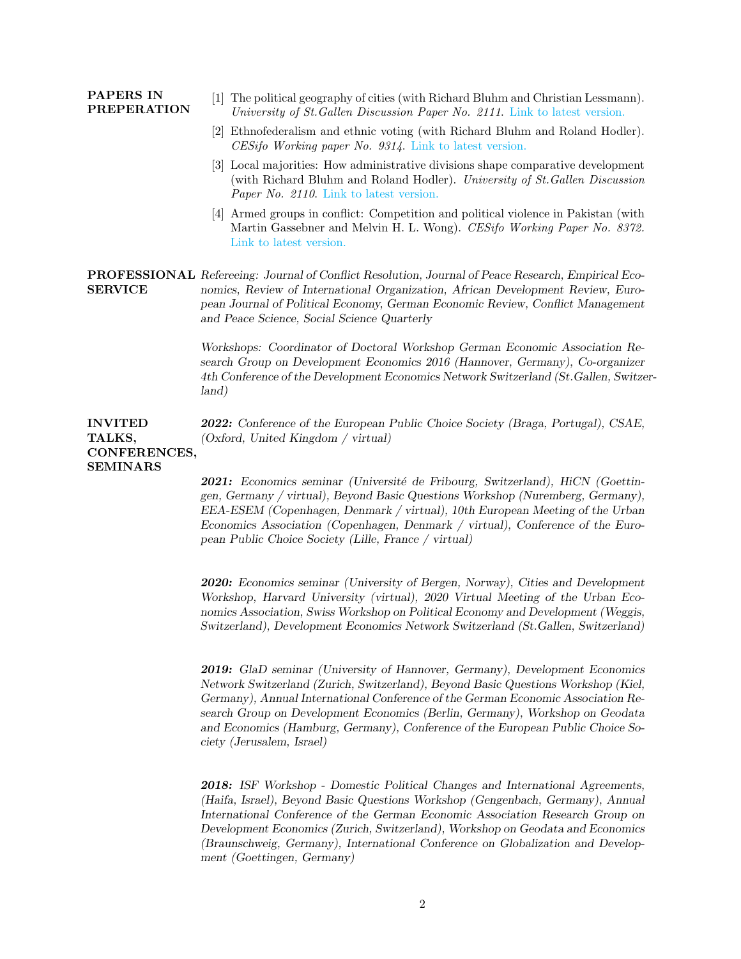| <b>PAPERS IN</b><br><b>PREPERATION</b>                      | The political geography of cities (with Richard Bluhm and Christian Lessmann).<br>11<br>University of St. Gallen Discussion Paper No. 2111. Link to latest version.                                                                                                                                                           |  |  |  |  |
|-------------------------------------------------------------|-------------------------------------------------------------------------------------------------------------------------------------------------------------------------------------------------------------------------------------------------------------------------------------------------------------------------------|--|--|--|--|
|                                                             | [2] Ethnofederalism and ethnic voting (with Richard Bluhm and Roland Hodler).<br>$CESifo\ Working\ paper\ No.\ 9314.$ Link to latest version.                                                                                                                                                                                 |  |  |  |  |
|                                                             | [3] Local majorities: How administrative divisions shape comparative development<br>(with Richard Bluhm and Roland Hodler). University of St. Gallen Discussion<br><i>Paper No. 2110.</i> Link to latest version.                                                                                                             |  |  |  |  |
|                                                             | 4 Armed groups in conflict: Competition and political violence in Pakistan (with<br>Martin Gassebner and Melvin H. L. Wong). CESifo Working Paper No. 8372.<br>Link to latest version.                                                                                                                                        |  |  |  |  |
| <b>SERVICE</b>                                              | <b>PROFESSIONAL</b> Refereeing: Journal of Conflict Resolution, Journal of Peace Research, Empirical Eco-<br>nomics, Review of International Organization, African Development Review, Euro-<br>pean Journal of Political Economy, German Economic Review, Conflict Management<br>and Peace Science, Social Science Quarterly |  |  |  |  |
|                                                             | Workshops: Coordinator of Doctoral Workshop German Economic Association Re-<br>search Group on Development Economics 2016 (Hannover, Germany), Co-organizer<br>4th Conference of the Development Economics Network Switzerland (St. Gallen, Switzer-<br>land)                                                                 |  |  |  |  |
| <b>INVITED</b><br>TALKS,<br>CONFERENCES,<br><b>SEMINARS</b> | <b>2022:</b> Conference of the European Public Choice Society (Braga, Portugal), CSAE,<br>(Oxford, United Kingdom / virtual)                                                                                                                                                                                                  |  |  |  |  |
|                                                             | <b>2021:</b> Economics seminar (Université de Fribourg, Switzerland), HiCN (Goettin-<br>gen, Germany / virtual), Beyond Basic Questions Workshop (Nuremberg, Germany),<br>EEA-ESEM (Copenhagen, Denmark / virtual), 10th European Meeting of the Urban                                                                        |  |  |  |  |

Economics Association (Copenhagen, Denmark / virtual), Conference of the European Public Choice Society (Lille, France / virtual)

2020: Economics seminar (University of Bergen, Norway), Cities and Development Workshop, Harvard University (virtual), 2020 Virtual Meeting of the Urban Economics Association, Swiss Workshop on Political Economy and Development (Weggis, Switzerland), Development Economics Network Switzerland (St.Gallen, Switzerland)

2019: GlaD seminar (University of Hannover, Germany), Development Economics Network Switzerland (Zurich, Switzerland), Beyond Basic Questions Workshop (Kiel, Germany), Annual International Conference of the German Economic Association Research Group on Development Economics (Berlin, Germany), Workshop on Geodata and Economics (Hamburg, Germany), Conference of the European Public Choice Society (Jerusalem, Israel)

2018: ISF Workshop - Domestic Political Changes and International Agreements, (Haifa, Israel), Beyond Basic Questions Workshop (Gengenbach, Germany), Annual International Conference of the German Economic Association Research Group on Development Economics (Zurich, Switzerland), Workshop on Geodata and Economics (Braunschweig, Germany), International Conference on Globalization and Development (Goettingen, Germany)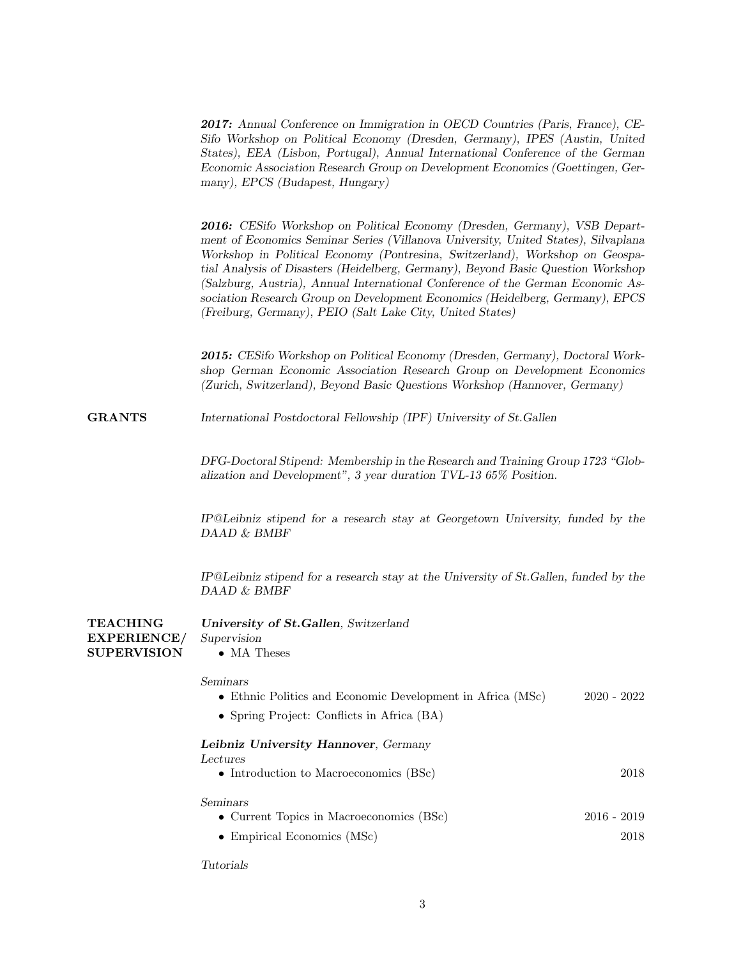| 2017: Annual Conference on Immigration in OECD Countries (Paris, France), CE-  |
|--------------------------------------------------------------------------------|
| Sifo Workshop on Political Economy (Dresden, Germany), IPES (Austin, United    |
| States), EEA (Lisbon, Portugal), Annual International Conference of the German |
| Economic Association Research Group on Development Economics (Goettingen, Ger- |
| many), EPCS (Budapest, Hungary)                                                |

2016: CESifo Workshop on Political Economy (Dresden, Germany), VSB Department of Economics Seminar Series (Villanova University, United States), Silvaplana Workshop in Political Economy (Pontresina, Switzerland), Workshop on Geospatial Analysis of Disasters (Heidelberg, Germany), Beyond Basic Question Workshop (Salzburg, Austria), Annual International Conference of the German Economic Association Research Group on Development Economics (Heidelberg, Germany), EPCS (Freiburg, Germany), PEIO (Salt Lake City, United States)

2015: CESifo Workshop on Political Economy (Dresden, Germany), Doctoral Workshop German Economic Association Research Group on Development Economics (Zurich, Switzerland), Beyond Basic Questions Workshop (Hannover, Germany)

GRANTS International Postdoctoral Fellowship (IPF) University of St.Gallen

DFG-Doctoral Stipend: Membership in the Research and Training Group 1723 "Globalization and Development", 3 year duration TVL-13 65% Position.

IP@Leibniz stipend for a research stay at Georgetown University, funded by the DAAD & BMBF

IP@Leibniz stipend for a research stay at the University of St.Gallen, funded by the DAAD & BMBF

**TEACHING** EXPERIENCE/ **SUPERVISION** University of St.Gallen, Switzerland Supervision • MA Theses

## Seminars

|  | $\bullet$ Ethnic Politics and Economic Development in Africa (MSc) |  |  |  |  |  |  |  | $2020 - 2022$ |  |  |
|--|--------------------------------------------------------------------|--|--|--|--|--|--|--|---------------|--|--|
|--|--------------------------------------------------------------------|--|--|--|--|--|--|--|---------------|--|--|

• Spring Project: Conflicts in Africa (BA)

Leibniz University Hannover, Germany

| Lectures |  |  |
|----------|--|--|
|          |  |  |

| • Introduction to Macroeconomics $(BSc)$   | 2018          |  |
|--------------------------------------------|---------------|--|
| Seminars                                   |               |  |
| • Current Topics in Macroeconomics $(BSc)$ | $2016 - 2019$ |  |
|                                            | റവ പ          |  |

• Empirical Economics (MSc) 2018

Tutorials